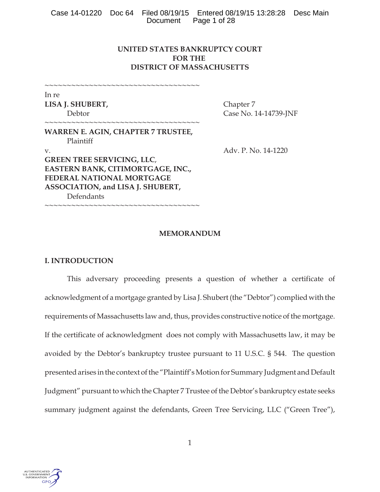|  | Case 14-01220 Doc 64 Filed 08/19/15 Entered 08/19/15 13:28:28 Desc Main |  |
|--|-------------------------------------------------------------------------|--|
|  | Document Page 1 of 28                                                   |  |

# **UNITED STATES BANKRUPTCY COURT FOR THE DISTRICT OF MASSACHUSETTS**

~~~~~~~~~~~~~~~~~~~~~~~~~~~~~~~~~~~

~~~~~~~~~~~~~~~~~~~~~~~~~~~~~~~~~~~~

In re **LISA J. SHUBERT,** Chapter 7

Debtor Case No. 14-14739-JNF

**WARREN E. AGIN, CHAPTER 7 TRUSTEE,** Plaintiff v. Adv. P. No. 14-1220 **GREEN TREE SERVICING, LLC**, **EASTERN BANK, CITIMORTGAGE, INC., FEDERAL NATIONAL MORTGAGE ASSOCIATION, and LISA J. SHUBERT,** Defendants

 $~\sim$   $~\sim$   $~\sim$   $~\sim$   $~\sim$   $~\sim$   $~\sim$   $~\sim$   $~\sim$   $~\sim$   $~\sim$   $~\sim$   $~\sim$   $~\sim$   $~\sim$   $~\sim$   $~\sim$   $~\sim$   $~\sim$   $~\sim$   $~\sim$   $~\sim$   $~\sim$   $~\sim$   $~\sim$   $~\sim$   $~\sim$   $~\sim$   $~\sim$   $~\sim$   $~\sim$   $~\sim$   $~\sim$   $~\sim$   $~\sim$   $~\sim$   $~\sim$ 

## **MEMORANDUM**

## **I. INTRODUCTION**

This adversary proceeding presents a question of whether a certificate of acknowledgment of a mortgage granted by Lisa J. Shubert (the "Debtor") complied with the requirements of Massachusetts law and, thus, provides constructive notice of the mortgage. If the certificate of acknowledgment does not comply with Massachusetts law, it may be avoided by the Debtor's bankruptcy trustee pursuant to 11 U.S.C. § 544. The question presented arises in the context of the "Plaintiff's Motion for Summary Judgment and Default Judgment" pursuant to which the Chapter 7 Trustee of the Debtor's bankruptcy estate seeks summary judgment against the defendants, Green Tree Servicing, LLC ("Green Tree"),

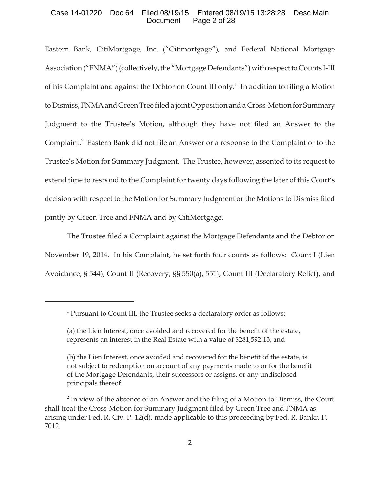### Case 14-01220 Doc 64 Filed 08/19/15 Entered 08/19/15 13:28:28 Desc Main Document Page 2 of 28

Eastern Bank, CitiMortgage, Inc. ("Citimortgage"), and Federal National Mortgage Association ("FNMA") (collectively, the "Mortgage Defendants") with respect to Counts I-III of his Complaint and against the Debtor on Count III only.<sup>1</sup> In addition to filing a Motion to Dismiss, FNMA and Green Tree filed a joint Opposition and a Cross-Motion for Summary Judgment to the Trustee's Motion, although they have not filed an Answer to the Complaint.<sup>2</sup> Eastern Bank did not file an Answer or a response to the Complaint or to the Trustee's Motion for Summary Judgment. The Trustee, however, assented to its request to extend time to respond to the Complaint for twenty days following the later of this Court's decision with respect to the Motion for Summary Judgment or the Motions to Dismiss filed jointly by Green Tree and FNMA and by CitiMortgage.

The Trustee filed a Complaint against the Mortgage Defendants and the Debtor on November 19, 2014. In his Complaint, he set forth four counts as follows: Count I (Lien Avoidance, § 544), Count II (Recovery, §§ 550(a), 551), Count III (Declaratory Relief), and

<sup>&</sup>lt;sup>1</sup> Pursuant to Count III, the Trustee seeks a declaratory order as follows:

<sup>(</sup>a) the Lien Interest, once avoided and recovered for the benefit of the estate, represents an interest in the Real Estate with a value of \$281,592.13; and

<sup>(</sup>b) the Lien Interest, once avoided and recovered for the benefit of the estate, is not subject to redemption on account of any payments made to or for the benefit of the Mortgage Defendants, their successors or assigns, or any undisclosed principals thereof.

 $2^{2}$  In view of the absence of an Answer and the filing of a Motion to Dismiss, the Court shall treat the Cross-Motion for Summary Judgment filed by Green Tree and FNMA as arising under Fed. R. Civ. P. 12(d), made applicable to this proceeding by Fed. R. Bankr. P. 7012.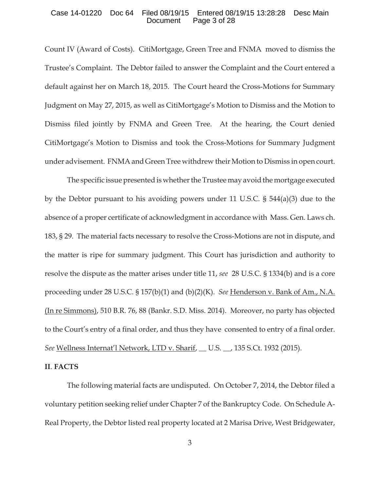### Case 14-01220 Doc 64 Filed 08/19/15 Entered 08/19/15 13:28:28 Desc Main Document Page 3 of 28

Count IV (Award of Costs). CitiMortgage, Green Tree and FNMA moved to dismiss the Trustee's Complaint. The Debtor failed to answer the Complaint and the Court entered a default against her on March 18, 2015. The Court heard the Cross-Motions for Summary Judgment on May 27, 2015, as well as CitiMortgage's Motion to Dismiss and the Motion to Dismiss filed jointly by FNMA and Green Tree. At the hearing, the Court denied CitiMortgage's Motion to Dismiss and took the Cross-Motions for Summary Judgment under advisement. FNMA and Green Tree withdrew their Motion to Dismiss in open court.

The specific issue presented is whether the Trustee may avoid the mortgage executed by the Debtor pursuant to his avoiding powers under 11 U.S.C. § 544(a)(3) due to the absence of a proper certificate of acknowledgment in accordance with Mass. Gen. Laws ch. 183, § 29. The material facts necessary to resolve the Cross-Motions are not in dispute, and the matter is ripe for summary judgment. This Court has jurisdiction and authority to resolve the dispute as the matter arises under title 11, *see* 28 U.S.C. § 1334(b) and is a core proceeding under 28 U.S.C. § 157(b)(1) and (b)(2)(K). *See* Henderson v. Bank of Am., N.A. (In re Simmons), 510 B.R. 76, 88 (Bankr. S.D. Miss. 2014). Moreover, no party has objected to the Court's entry of a final order, and thus they have consented to entry of a final order. *See* Wellness Internat'l Network, LTD v. Sharif, \_\_ U.S. \_\_, 135 S.Ct. 1932 (2015).

### **II**. **FACTS**

The following material facts are undisputed. On October 7, 2014, the Debtor filed a voluntary petition seeking relief under Chapter 7 of the Bankruptcy Code. On Schedule A-Real Property, the Debtor listed real property located at 2 Marisa Drive, West Bridgewater,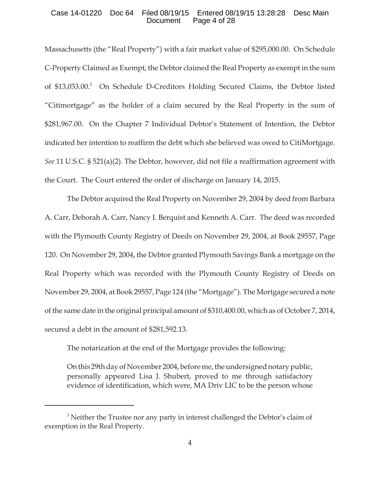### Case 14-01220 Doc 64 Filed 08/19/15 Entered 08/19/15 13:28:28 Desc Main Document Page 4 of 28

Massachusetts (the "Real Property") with a fair market value of \$295,000.00. On Schedule C-Property Claimed as Exempt, the Debtor claimed the Real Property as exempt in the sum of \$13,033.00.<sup>3</sup> On Schedule D-Creditors Holding Secured Claims, the Debtor listed "Citimortgage" as the holder of a claim secured by the Real Property in the sum of \$281,967.00. On the Chapter 7 Individual Debtor's Statement of Intention, the Debtor indicated her intention to reaffirm the debt which she believed was owed to CitiMortgage. *See* 11 U.S.C. § 521(a)(2). The Debtor, however, did not file a reaffirmation agreement with the Court. The Court entered the order of discharge on January 14, 2015.

The Debtor acquired the Real Property on November 29, 2004 by deed from Barbara A. Carr, Deborah A. Carr, Nancy I. Berquist and Kenneth A. Carr. The deed was recorded with the Plymouth County Registry of Deeds on November 29, 2004, at Book 29557, Page 120. On November 29, 2004, the Debtor granted Plymouth Savings Bank a mortgage on the Real Property which was recorded with the Plymouth County Registry of Deeds on November 29, 2004, at Book 29557, Page 124 (the "Mortgage"). The Mortgage secured a note of the same date in the original principal amount of \$310,400.00, which as of October 7, 2014, secured a debt in the amount of \$281,592.13.

The notarization at the end of the Mortgage provides the following:

On this 29th day of November 2004, before me, the undersigned notary public, personally appeared Lisa J. Shubert, proved to me through satisfactory evidence of identification, which were, MA Driv LIC to be the person whose

<sup>&</sup>lt;sup>3</sup> Neither the Trustee nor any party in interest challenged the Debtor's claim of exemption in the Real Property.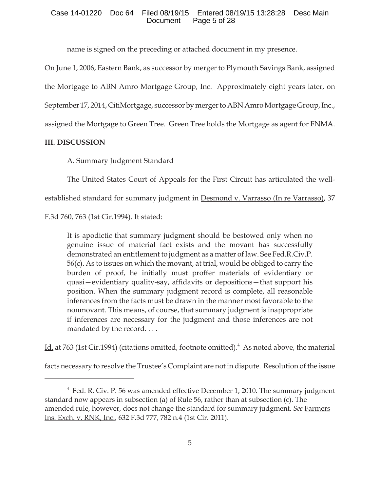## Case 14-01220 Doc 64 Filed 08/19/15 Entered 08/19/15 13:28:28 Desc Main Document Page 5 of 28

name is signed on the preceding or attached document in my presence.

On June 1, 2006, Eastern Bank, as successor by merger to Plymouth Savings Bank, assigned

the Mortgage to ABN Amro Mortgage Group, Inc. Approximately eight years later, on

September 17, 2014, CitiMortgage, successor by merger to ABN Amro Mortgage Group, Inc.,

assigned the Mortgage to Green Tree. Green Tree holds the Mortgage as agent for FNMA.

# **III. DISCUSSION**

# A. Summary Judgment Standard

The United States Court of Appeals for the First Circuit has articulated the well-

established standard for summary judgment in Desmond v. Varrasso (In re Varrasso), 37

F.3d 760, 763 (1st Cir.1994). It stated:

It is apodictic that summary judgment should be bestowed only when no genuine issue of material fact exists and the movant has successfully demonstrated an entitlement to judgment as a matter of law. See Fed.R.Civ.P. 56(c). As to issues on which the movant, at trial, would be obliged to carry the burden of proof, he initially must proffer materials of evidentiary or quasi—evidentiary quality-say, affidavits or depositions—that support his position. When the summary judgment record is complete, all reasonable inferences from the facts must be drawn in the manner most favorable to the nonmovant. This means, of course, that summary judgment is inappropriate if inferences are necessary for the judgment and those inferences are not mandated by the record....

Id. at 763 (1st Cir.1994) (citations omitted, footnote omitted).<sup>4</sup> As noted above, the material

facts necessary to resolve the Trustee's Complaint are not in dispute. Resolution of the issue

<sup>&</sup>lt;sup>4</sup> Fed. R. Civ. P. 56 was amended effective December 1, 2010. The summary judgment standard now appears in subsection (a) of Rule 56, rather than at subsection (c). The amended rule, however, does not change the standard for summary judgment. *See* Farmers Ins. Exch. v. RNK, Inc., 632 F.3d 777, 782 n.4 (1st Cir. 2011).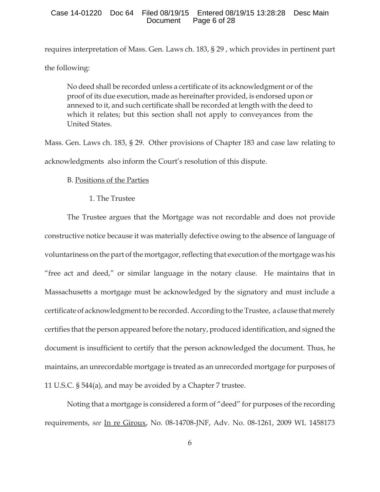requires interpretation of Mass. Gen. Laws ch. 183, § 29 , which provides in pertinent part the following:

No deed shall be recorded unless a certificate of its acknowledgment or of the proof of its due execution, made as hereinafter provided, is endorsed upon or annexed to it, and such certificate shall be recorded at length with the deed to which it relates; but this section shall not apply to conveyances from the United States.

Mass. Gen. Laws ch. 183, § 29. Other provisions of Chapter 183 and case law relating to acknowledgments also inform the Court's resolution of this dispute.

# B. Positions of the Parties

1. The Trustee

The Trustee argues that the Mortgage was not recordable and does not provide constructive notice because it was materially defective owing to the absence of language of voluntariness on the part of the mortgagor, reflecting that execution of the mortgage was his "free act and deed," or similar language in the notary clause. He maintains that in Massachusetts a mortgage must be acknowledged by the signatory and must include a certificate of acknowledgment to be recorded. According to the Trustee, a clause that merely certifies that the person appeared before the notary, produced identification, and signed the document is insufficient to certify that the person acknowledged the document. Thus, he maintains, an unrecordable mortgage is treated as an unrecorded mortgage for purposes of 11 U.S.C. § 544(a), and may be avoided by a Chapter 7 trustee.

Noting that a mortgage is considered a form of "deed" for purposes of the recording requirements, *see* In re Giroux, No. 08-14708-JNF, Adv. No. 08-1261, 2009 WL 1458173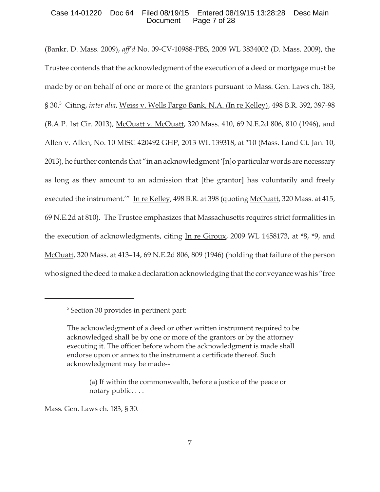## Case 14-01220 Doc 64 Filed 08/19/15 Entered 08/19/15 13:28:28 Desc Main Document Page 7 of 28

(Bankr. D. Mass. 2009), *aff'd* No. 09-CV-10988-PBS, 2009 WL 3834002 (D. Mass. 2009), the Trustee contends that the acknowledgment of the execution of a deed or mortgage must be made by or on behalf of one or more of the grantors pursuant to Mass. Gen. Laws ch. 183, § 30.<sup>5</sup> Citing, *inter alia*, Weiss v. Wells Fargo Bank, N.A. (In re Kelley), 498 B.R. 392, 397-98 (B.A.P. 1st Cir. 2013), McOuatt v. McOuatt, 320 Mass. 410, 69 N.E.2d 806, 810 (1946), and Allen v. Allen, No. 10 MISC 420492 GHP, 2013 WL 139318, at \*10 (Mass. Land Ct. Jan. 10, 2013), he further contends that "in an acknowledgment '[n]o particular words are necessary as long as they amount to an admission that [the grantor] has voluntarily and freely executed the instrument.'" In re Kelley, 498 B.R. at 398 (quoting McOuatt, 320 Mass. at 415, 69 N.E.2d at 810). The Trustee emphasizes that Massachusetts requires strict formalities in the execution of acknowledgments, citing In re Giroux, 2009 WL 1458173, at  $*8$ ,  $*9$ , and McOuatt, 320 Mass. at 413–14, 69 N.E.2d 806, 809 (1946) (holding that failure of the person who signed the deed to make a declaration acknowledging that the conveyance was his "free

Mass. Gen. Laws ch. 183, § 30.

<sup>5</sup> Section 30 provides in pertinent part:

The acknowledgment of a deed or other written instrument required to be acknowledged shall be by one or more of the grantors or by the attorney executing it. The officer before whom the acknowledgment is made shall endorse upon or annex to the instrument a certificate thereof. Such acknowledgment may be made--

<sup>(</sup>a) If within the commonwealth, before a justice of the peace or notary public. . . .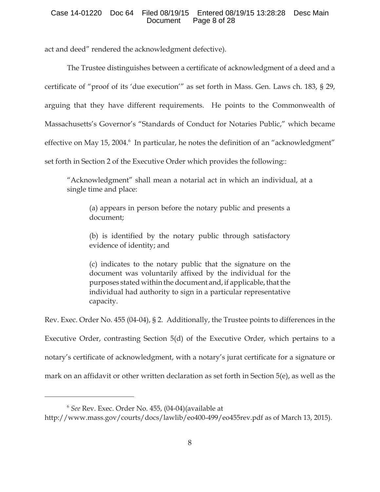## Case 14-01220 Doc 64 Filed 08/19/15 Entered 08/19/15 13:28:28 Desc Main Document Page 8 of 28

act and deed" rendered the acknowledgment defective).

The Trustee distinguishes between a certificate of acknowledgment of a deed and a certificate of "proof of its 'due execution'" as set forth in Mass. Gen. Laws ch. 183, § 29, arguing that they have different requirements. He points to the Commonwealth of Massachusetts's Governor's "Standards of Conduct for Notaries Public," which became effective on May 15, 2004.<sup>6</sup> In particular, he notes the definition of an "acknowledgment" set forth in Section 2 of the Executive Order which provides the following::

"Acknowledgment" shall mean a notarial act in which an individual, at a single time and place:

(a) appears in person before the notary public and presents a document;

(b) is identified by the notary public through satisfactory evidence of identity; and

(c) indicates to the notary public that the signature on the document was voluntarily affixed by the individual for the purposes stated within the document and, if applicable, that the individual had authority to sign in a particular representative capacity.

Rev. Exec. Order No. 455 (04-04), § 2. Additionally, the Trustee points to differences in the Executive Order, contrasting Section 5(d) of the Executive Order, which pertains to a notary's certificate of acknowledgment, with a notary's jurat certificate for a signature or mark on an affidavit or other written declaration as set forth in Section 5(e), as well as the

<sup>6</sup> *See* Rev. Exec. Order No. 455, (04-04)(available at

http://www.mass.gov/courts/docs/lawlib/eo400-499/eo455rev.pdf as of March 13, 2015).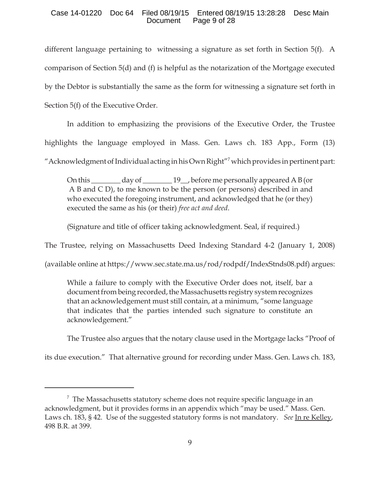### Case 14-01220 Doc 64 Filed 08/19/15 Entered 08/19/15 13:28:28 Desc Main Document Page 9 of 28

different language pertaining to witnessing a signature as set forth in Section 5(f). A comparison of Section 5(d) and (f) is helpful as the notarization of the Mortgage executed by the Debtor is substantially the same as the form for witnessing a signature set forth in Section 5(f) of the Executive Order.

In addition to emphasizing the provisions of the Executive Order, the Trustee highlights the language employed in Mass. Gen. Laws ch. 183 App., Form (13) "Acknowledgment of Individual acting in his Own Right"<sup>7</sup> which provides in pertinent part:

On this \_\_\_\_\_\_\_\_ day of \_\_\_\_\_\_\_\_ 19\_\_, before me personally appeared A B (or A B and C D), to me known to be the person (or persons) described in and who executed the foregoing instrument, and acknowledged that he (or they) executed the same as his (or their) *free act and deed*.

(Signature and title of officer taking acknowledgment. Seal, if required.)

The Trustee, relying on Massachusetts Deed Indexing Standard 4-2 (January 1, 2008)

(available online at https://www.sec.state.ma.us/rod/rodpdf/IndexStnds08.pdf) argues:

While a failure to comply with the Executive Order does not, itself, bar a document from being recorded, the Massachusetts registry system recognizes that an acknowledgement must still contain, at a minimum, "some language that indicates that the parties intended such signature to constitute an acknowledgement."

The Trustee also argues that the notary clause used in the Mortgage lacks "Proof of

its due execution." That alternative ground for recording under Mass. Gen. Laws ch. 183,

 $7$  The Massachusetts statutory scheme does not require specific language in an acknowledgment, but it provides forms in an appendix which "may be used." Mass. Gen. Laws ch. 183, § 42. Use of the suggested statutory forms is not mandatory. *See* In re Kelley, 498 B.R. at 399.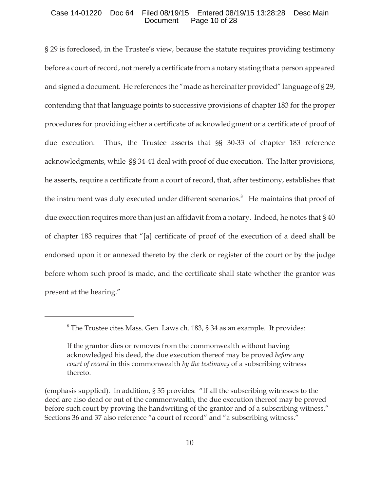## Case 14-01220 Doc 64 Filed 08/19/15 Entered 08/19/15 13:28:28 Desc Main Document Page 10 of 28

§ 29 is foreclosed, in the Trustee's view, because the statute requires providing testimony before a court of record, not merely a certificate from a notary stating that a person appeared and signed a document. He references the "made as hereinafter provided" language of § 29, contending that that language points to successive provisions of chapter 183 for the proper procedures for providing either a certificate of acknowledgment or a certificate of proof of due execution. Thus, the Trustee asserts that §§ 30-33 of chapter 183 reference acknowledgments, while §§ 34-41 deal with proof of due execution. The latter provisions, he asserts, require a certificate from a court of record, that, after testimony, establishes that the instrument was duly executed under different scenarios.<sup>8</sup> He maintains that proof of due execution requires more than just an affidavit from a notary. Indeed, he notes that § 40 of chapter 183 requires that "[a] certificate of proof of the execution of a deed shall be endorsed upon it or annexed thereto by the clerk or register of the court or by the judge before whom such proof is made, and the certificate shall state whether the grantor was present at the hearing."

<sup>&</sup>lt;sup>8</sup> The Trustee cites Mass. Gen. Laws ch. 183, § 34 as an example. It provides:

If the grantor dies or removes from the commonwealth without having acknowledged his deed, the due execution thereof may be proved *before any court of record* in this commonwealth *by the testimony* of a subscribing witness thereto.

<sup>(</sup>emphasis supplied). In addition, § 35 provides: "If all the subscribing witnesses to the deed are also dead or out of the commonwealth, the due execution thereof may be proved before such court by proving the handwriting of the grantor and of a subscribing witness." Sections 36 and 37 also reference "a court of record" and "a subscribing witness."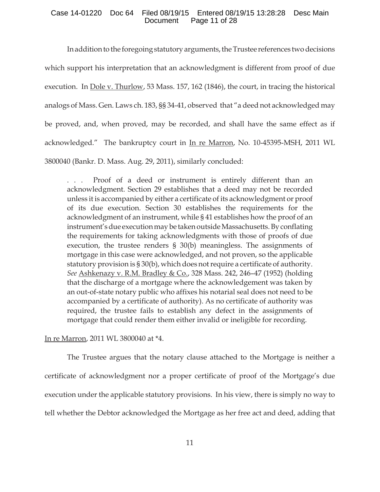### Case 14-01220 Doc 64 Filed 08/19/15 Entered 08/19/15 13:28:28 Desc Main Document Page 11 of 28

In addition to the foregoing statutory arguments, the Trustee references two decisions which support his interpretation that an acknowledgment is different from proof of due execution. In Dole v. Thurlow, 53 Mass. 157, 162 (1846), the court, in tracing the historical analogs of Mass. Gen. Laws ch. 183, §§ 34-41, observed that "a deed not acknowledged may be proved, and, when proved, may be recorded, and shall have the same effect as if acknowledged." The bankruptcy court in In re Marron, No. 10-45395-MSH, 2011 WL 3800040 (Bankr. D. Mass. Aug. 29, 2011), similarly concluded:

. . . Proof of a deed or instrument is entirely different than an acknowledgment. Section 29 establishes that a deed may not be recorded unless it is accompanied by either a certificate of its acknowledgment or proof of its due execution. Section 30 establishes the requirements for the acknowledgment of an instrument, while § 41 establishes how the proof of an instrument's due execution may be taken outside Massachusetts. By conflating the requirements for taking acknowledgments with those of proofs of due execution, the trustee renders § 30(b) meaningless. The assignments of mortgage in this case were acknowledged, and not proven, so the applicable statutory provision is § 30(b), which does not require a certificate of authority. *See* Ashkenazy v. R.M. Bradley & Co., 328 Mass. 242, 246–47 (1952) (holding that the discharge of a mortgage where the acknowledgement was taken by an out-of-state notary public who affixes his notarial seal does not need to be accompanied by a certificate of authority). As no certificate of authority was required, the trustee fails to establish any defect in the assignments of mortgage that could render them either invalid or ineligible for recording.

In re Marron, 2011 WL 3800040 at \*4.

The Trustee argues that the notary clause attached to the Mortgage is neither a certificate of acknowledgment nor a proper certificate of proof of the Mortgage's due execution under the applicable statutory provisions. In his view, there is simply no way to tell whether the Debtor acknowledged the Mortgage as her free act and deed, adding that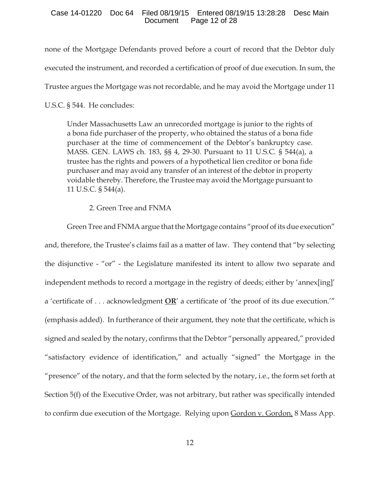### Case 14-01220 Doc 64 Filed 08/19/15 Entered 08/19/15 13:28:28 Desc Main Document Page 12 of 28

none of the Mortgage Defendants proved before a court of record that the Debtor duly executed the instrument, and recorded a certification of proof of due execution. In sum, the Trustee argues the Mortgage was not recordable, and he may avoid the Mortgage under 11

U.S.C. § 544. He concludes:

Under Massachusetts Law an unrecorded mortgage is junior to the rights of a bona fide purchaser of the property, who obtained the status of a bona fide purchaser at the time of commencement of the Debtor's bankruptcy case. MASS. GEN. LAWS ch. 183, §§ 4, 29-30. Pursuant to 11 U.S.C. § 544(a), a trustee has the rights and powers of a hypothetical lien creditor or bona fide purchaser and may avoid any transfer of an interest of the debtor in property voidable thereby. Therefore, the Trustee may avoid the Mortgage pursuant to 11 U.S.C. § 544(a).

## 2. Green Tree and FNMA

Green Tree and FNMA argue that the Mortgage contains "proof of its due execution" and, therefore, the Trustee's claims fail as a matter of law. They contend that "by selecting the disjunctive - "or" - the Legislature manifested its intent to allow two separate and independent methods to record a mortgage in the registry of deeds; either by 'annex[ing]' a 'certificate of . . . acknowledgment **OR**' a certificate of 'the proof of its due execution.'" (emphasis added). In furtherance of their argument, they note that the certificate, which is signed and sealed by the notary, confirms that the Debtor "personally appeared," provided "satisfactory evidence of identification," and actually "signed" the Mortgage in the "presence" of the notary, and that the form selected by the notary, i.e., the form set forth at Section 5(f) of the Executive Order, was not arbitrary, but rather was specifically intended to confirm due execution of the Mortgage. Relying upon Gordon v. Gordon, 8 Mass App.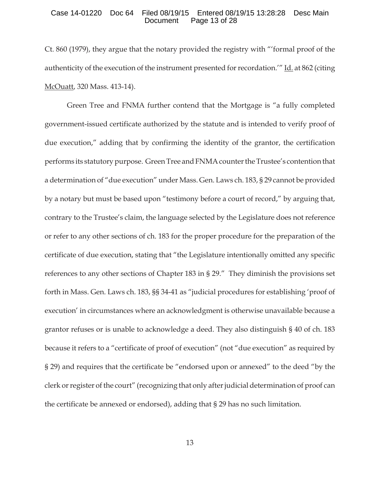### Case 14-01220 Doc 64 Filed 08/19/15 Entered 08/19/15 13:28:28 Desc Main Document Page 13 of 28

Ct. 860 (1979), they argue that the notary provided the registry with "'formal proof of the authenticity of the execution of the instrument presented for recordation.'" Id. at 862 (citing McOuatt, 320 Mass. 413-14).

Green Tree and FNMA further contend that the Mortgage is "a fully completed government-issued certificate authorized by the statute and is intended to verify proof of due execution," adding that by confirming the identity of the grantor, the certification performs its statutory purpose. Green Tree and FNMA counter the Trustee's contention that a determination of "due execution" under Mass. Gen. Laws ch. 183, § 29 cannot be provided by a notary but must be based upon "testimony before a court of record," by arguing that, contrary to the Trustee's claim, the language selected by the Legislature does not reference or refer to any other sections of ch. 183 for the proper procedure for the preparation of the certificate of due execution, stating that "the Legislature intentionally omitted any specific references to any other sections of Chapter 183 in § 29." They diminish the provisions set forth in Mass. Gen. Laws ch. 183, §§ 34-41 as "judicial procedures for establishing 'proof of execution' in circumstances where an acknowledgment is otherwise unavailable because a grantor refuses or is unable to acknowledge a deed. They also distinguish § 40 of ch. 183 because it refers to a "certificate of proof of execution" (not "due execution" as required by § 29) and requires that the certificate be "endorsed upon or annexed" to the deed "by the clerk or register of the court" (recognizing that only after judicial determination of proof can the certificate be annexed or endorsed), adding that § 29 has no such limitation.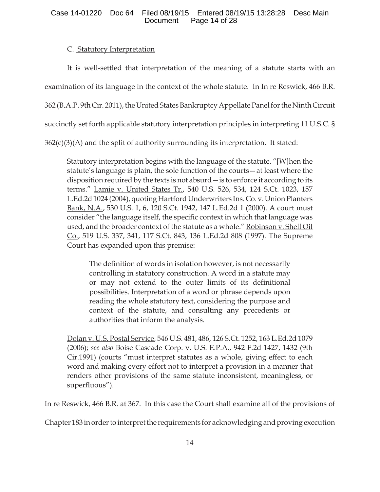## Case 14-01220 Doc 64 Filed 08/19/15 Entered 08/19/15 13:28:28 Desc Main Document Page 14 of 28

# C. Statutory Interpretation

It is well-settled that interpretation of the meaning of a statute starts with an examination of its language in the context of the whole statute. In <u>In re Reswick</u>, 466 B.R. 362 (B.A.P. 9th Cir. 2011), the United States Bankruptcy Appellate Panel for the Ninth Circuit succinctly set forth applicable statutory interpretation principles in interpreting 11 U.S.C. §  $362(c)(3)(A)$  and the split of authority surrounding its interpretation. It stated:

Statutory interpretation begins with the language of the statute. "[W]hen the statute's language is plain, the sole function of the courts—at least where the disposition required by the texts is not absurd—is to enforce it according to its terms." Lamie v. United States Tr., 540 U.S. 526, 534, 124 S.Ct. 1023, 157 L.Ed.2d 1024 (2004), quoting Hartford Underwriters Ins. Co. v. Union Planters Bank, N.A., 530 U.S. 1, 6, 120 S.Ct. 1942, 147 L.Ed.2d 1 (2000). A court must consider "the language itself, the specific context in which that language was used, and the broader context of the statute as a whole." Robinson v. Shell Oil Co., 519 U.S. 337, 341, 117 S.Ct. 843, 136 L.Ed.2d 808 (1997). The Supreme Court has expanded upon this premise:

The definition of words in isolation however, is not necessarily controlling in statutory construction. A word in a statute may or may not extend to the outer limits of its definitional possibilities. Interpretation of a word or phrase depends upon reading the whole statutory text, considering the purpose and context of the statute, and consulting any precedents or authorities that inform the analysis.

Dolan v. U.S. Postal Service, 546 U.S. 481, 486, 126 S.Ct. 1252, 163 L.Ed.2d 1079 (2006); *see also* Boise Cascade Corp. v. U.S. E.P.A., 942 F.2d 1427, 1432 (9th Cir.1991) (courts "must interpret statutes as a whole, giving effect to each word and making every effort not to interpret a provision in a manner that renders other provisions of the same statute inconsistent, meaningless, or superfluous").

In re Reswick, 466 B.R. at 367. In this case the Court shall examine all of the provisions of

Chapter 183 in order to interpret the requirements for acknowledging and proving execution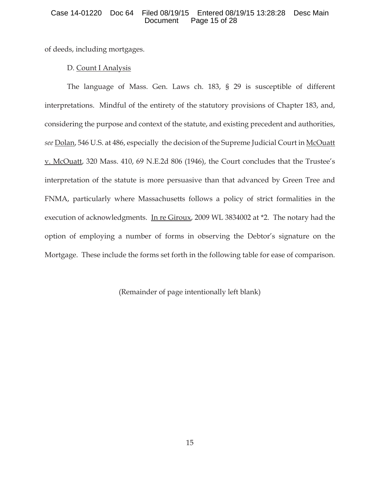### Case 14-01220 Doc 64 Filed 08/19/15 Entered 08/19/15 13:28:28 Desc Main Page 15 of 28

of deeds, including mortgages.

## D. Count I Analysis

The language of Mass. Gen. Laws ch. 183, § 29 is susceptible of different interpretations. Mindful of the entirety of the statutory provisions of Chapter 183, and, considering the purpose and context of the statute, and existing precedent and authorities, *see* Dolan, 546 U.S. at 486, especially the decision of the Supreme Judicial Court in McOuatt v. McOuatt, 320 Mass. 410, 69 N.E.2d 806 (1946), the Court concludes that the Trustee's interpretation of the statute is more persuasive than that advanced by Green Tree and FNMA, particularly where Massachusetts follows a policy of strict formalities in the execution of acknowledgments. In re Giroux, 2009 WL 3834002 at \*2. The notary had the option of employing a number of forms in observing the Debtor's signature on the Mortgage. These include the forms set forth in the following table for ease of comparison.

(Remainder of page intentionally left blank)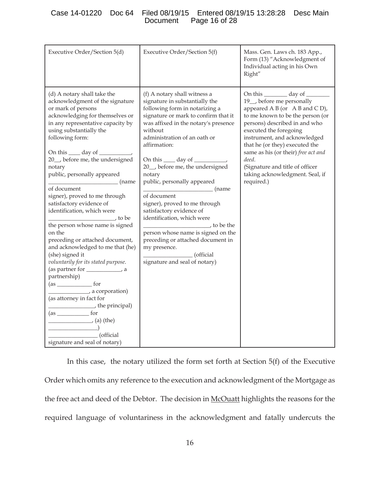## Case 14-01220 Doc 64 Filed 08/19/15 Entered 08/19/15 13:28:28 Desc Main Page 16 of 28

| Executive Order/Section 5(d)                                                                                                                                                                                                                                                                                                                                                                                                                                                                                                                                                                                                                                                                                                                                                                                                                                                                                                                                                                                                                                   | Executive Order/Section 5(f)                                                                                                                                                                                                                                                                                                                                                                                                                                                                                                                                                                                                                            | Mass. Gen. Laws ch. 183 App.,<br>Form (13) "Acknowledgment of<br>Individual acting in his Own<br>Right"                                                                                                                                                                                                                                                                                                  |
|----------------------------------------------------------------------------------------------------------------------------------------------------------------------------------------------------------------------------------------------------------------------------------------------------------------------------------------------------------------------------------------------------------------------------------------------------------------------------------------------------------------------------------------------------------------------------------------------------------------------------------------------------------------------------------------------------------------------------------------------------------------------------------------------------------------------------------------------------------------------------------------------------------------------------------------------------------------------------------------------------------------------------------------------------------------|---------------------------------------------------------------------------------------------------------------------------------------------------------------------------------------------------------------------------------------------------------------------------------------------------------------------------------------------------------------------------------------------------------------------------------------------------------------------------------------------------------------------------------------------------------------------------------------------------------------------------------------------------------|----------------------------------------------------------------------------------------------------------------------------------------------------------------------------------------------------------------------------------------------------------------------------------------------------------------------------------------------------------------------------------------------------------|
| (d) A notary shall take the<br>acknowledgment of the signature<br>or mark of persons<br>acknowledging for themselves or<br>in any representative capacity by<br>using substantially the<br>following form:<br>On this <u>equal</u> day of<br>20_, before me, the undersigned<br>notary<br>public, personally appeared<br>(name<br>$\mathcal{L}^{\mathcal{L}}(\mathcal{L}^{\mathcal{L}})$ and $\mathcal{L}^{\mathcal{L}}(\mathcal{L}^{\mathcal{L}})$ and $\mathcal{L}^{\mathcal{L}}(\mathcal{L}^{\mathcal{L}})$<br>of document<br>signer), proved to me through<br>satisfactory evidence of<br>identification, which were<br>_, to be<br>the person whose name is signed<br>on the<br>preceding or attached document,<br>and acknowledged to me that (he)<br>(she) signed it<br>voluntarily for its stated purpose.<br>(as partner for _______________, a<br>partnership)<br>$\frac{1}{\sqrt{a}}$ for<br>a corporation)<br>(as attorney in fact for<br>the principal)<br>$(as_$<br>$\frac{1}{\sqrt{a}}$ (a) (the)<br>(official<br>signature and seal of notary) | (f) A notary shall witness a<br>signature in substantially the<br>following form in notarizing a<br>signature or mark to confirm that it<br>was affixed in the notary's presence<br>without<br>administration of an oath or<br>affirmation:<br>On this _____ day of __________<br>20_, before me, the undersigned<br>notary<br>public, personally appeared<br><b>manual</b> (name)<br>of document<br>signer), proved to me through<br>satisfactory evidence of<br>identification, which were<br>to be the<br>person whose name is signed on the<br>preceding or attached document in<br>my presence.<br>$\_$ (official<br>signature and seal of notary) | On this __________ day of ________<br>19_, before me personally<br>appeared A B (or $A$ B and C D),<br>to me known to be the person (or<br>persons) described in and who<br>executed the foregoing<br>instrument, and acknowledged<br>that he (or they) executed the<br>same as his (or their) free act and<br>deed.<br>(Signature and title of officer<br>taking acknowledgment. Seal, if<br>required.) |

In this case, the notary utilized the form set forth at Section 5(f) of the Executive Order which omits any reference to the execution and acknowledgment of the Mortgage as the free act and deed of the Debtor. The decision in McOuatt highlights the reasons for the required language of voluntariness in the acknowledgment and fatally undercuts the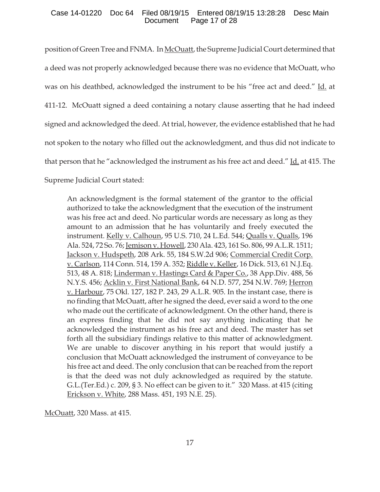## Case 14-01220 Doc 64 Filed 08/19/15 Entered 08/19/15 13:28:28 Desc Main Document Page 17 of 28

position of Green Tree and FNMA. In McOuatt, the Supreme Judicial Court determined that a deed was not properly acknowledged because there was no evidence that McOuatt, who was on his deathbed, acknowledged the instrument to be his "free act and deed." Id. at 411-12. McOuatt signed a deed containing a notary clause asserting that he had indeed signed and acknowledged the deed. At trial, however, the evidence established that he had not spoken to the notary who filled out the acknowledgment, and thus did not indicate to that person that he "acknowledged the instrument as his free act and deed." Id. at 415. The Supreme Judicial Court stated:

An acknowledgment is the formal statement of the grantor to the official authorized to take the acknowledgment that the execution of the instrument was his free act and deed. No particular words are necessary as long as they amount to an admission that he has voluntarily and freely executed the instrument. Kelly v. Calhoun, 95 U.S. 710, 24 L.Ed. 544; Qualls v. Qualls, 196 Ala. 524, 72 So. 76; Jemison v. Howell, 230 Ala. 423, 161 So. 806, 99 A.L.R. 1511; Jackson v. Hudspeth, 208 Ark. 55, 184 S.W.2d 906; Commercial Credit Corp. v. Carlson, 114 Conn. 514, 159 A. 352; Riddle v. Keller, 16 Dick. 513, 61 N.J.Eq. 513, 48 A. 818; Linderman v. Hastings Card & Paper Co., 38 App. Div. 488, 56 N.Y.S. 456; Acklin v. First National Bank, 64 N.D. 577, 254 N.W. 769; Herron v. Harbour, 75 Okl. 127, 182 P. 243, 29 A.L.R. 905. In the instant case, there is no finding that McOuatt, after he signed the deed, ever said a word to the one who made out the certificate of acknowledgment. On the other hand, there is an express finding that he did not say anything indicating that he acknowledged the instrument as his free act and deed. The master has set forth all the subsidiary findings relative to this matter of acknowledgment. We are unable to discover anything in his report that would justify a conclusion that McOuatt acknowledged the instrument of conveyance to be his free act and deed. The only conclusion that can be reached from the report is that the deed was not duly acknowledged as required by the statute. G.L.(Ter.Ed.) c. 209, § 3. No effect can be given to it." 320 Mass. at 415 (citing Erickson v. White, 288 Mass. 451, 193 N.E. 25).

McOuatt, 320 Mass. at 415.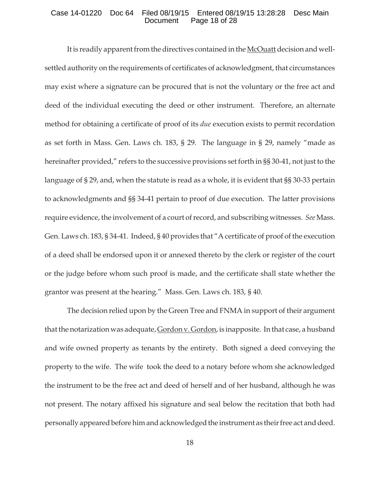### Case 14-01220 Doc 64 Filed 08/19/15 Entered 08/19/15 13:28:28 Desc Main Document Page 18 of 28

It is readily apparent from the directives contained in the McOuatt decision and wellsettled authority on the requirements of certificates of acknowledgment, that circumstances may exist where a signature can be procured that is not the voluntary or the free act and deed of the individual executing the deed or other instrument. Therefore, an alternate method for obtaining a certificate of proof of its *due* execution exists to permit recordation as set forth in Mass. Gen. Laws ch. 183, § 29. The language in § 29, namely "made as hereinafter provided," refers to the successive provisions set forth in §§ 30-41, not just to the language of § 29, and, when the statute is read as a whole, it is evident that §§ 30-33 pertain to acknowledgments and §§ 34-41 pertain to proof of due execution. The latter provisions require evidence, the involvement of a court of record, and subscribing witnesses. *See* Mass. Gen. Laws ch. 183, § 34-41. Indeed, § 40 provides that "A certificate of proof of the execution of a deed shall be endorsed upon it or annexed thereto by the clerk or register of the court or the judge before whom such proof is made, and the certificate shall state whether the grantor was present at the hearing." Mass. Gen. Laws ch. 183, § 40.

The decision relied upon by the Green Tree and FNMA in support of their argument that the notarization was adequate, Gordon v. Gordon, is inapposite. In that case, a husband and wife owned property as tenants by the entirety. Both signed a deed conveying the property to the wife. The wife took the deed to a notary before whom she acknowledged the instrument to be the free act and deed of herself and of her husband, although he was not present. The notary affixed his signature and seal below the recitation that both had personally appeared before him and acknowledged the instrument as their free act and deed.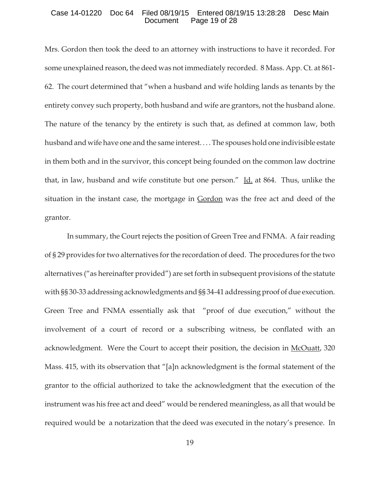### Case 14-01220 Doc 64 Filed 08/19/15 Entered 08/19/15 13:28:28 Desc Main Page 19 of 28

Mrs. Gordon then took the deed to an attorney with instructions to have it recorded. For some unexplained reason, the deed was not immediately recorded. 8 Mass. App. Ct. at 861- 62. The court determined that "when a husband and wife holding lands as tenants by the entirety convey such property, both husband and wife are grantors, not the husband alone. The nature of the tenancy by the entirety is such that, as defined at common law, both husband and wife have one and the same interest. . . . The spouses hold one indivisible estate in them both and in the survivor, this concept being founded on the common law doctrine that, in law, husband and wife constitute but one person."  $\underline{Id}$  at 864. Thus, unlike the situation in the instant case, the mortgage in Gordon was the free act and deed of the grantor.

In summary, the Court rejects the position of Green Tree and FNMA. A fair reading of § 29 provides for two alternatives for the recordation of deed. The procedures for the two alternatives ("as hereinafter provided") are set forth in subsequent provisions of the statute with §§ 30-33 addressing acknowledgments and §§ 34-41 addressing proof of due execution. Green Tree and FNMA essentially ask that "proof of due execution," without the involvement of a court of record or a subscribing witness, be conflated with an acknowledgment. Were the Court to accept their position, the decision in McOuatt, 320 Mass. 415, with its observation that "[a]n acknowledgment is the formal statement of the grantor to the official authorized to take the acknowledgment that the execution of the instrument was his free act and deed" would be rendered meaningless, as all that would be required would be a notarization that the deed was executed in the notary's presence. In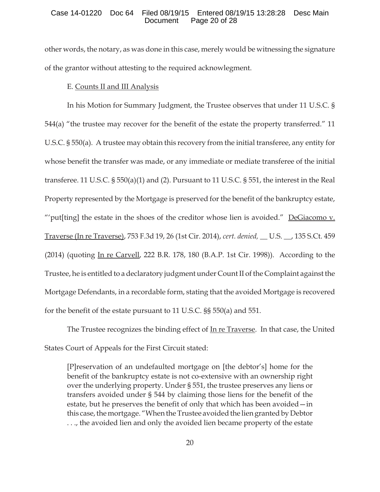## Case 14-01220 Doc 64 Filed 08/19/15 Entered 08/19/15 13:28:28 Desc Main Document Page 20 of 28

other words, the notary, as was done in this case, merely would be witnessing the signature of the grantor without attesting to the required acknowlegment.

## E. Counts II and III Analysis

In his Motion for Summary Judgment, the Trustee observes that under 11 U.S.C. § 544(a) "the trustee may recover for the benefit of the estate the property transferred." 11 U.S.C. § 550(a). A trustee may obtain this recovery from the initial transferee, any entity for whose benefit the transfer was made, or any immediate or mediate transferee of the initial transferee. 11 U.S.C. § 550(a)(1) and (2). Pursuant to 11 U.S.C. § 551, the interest in the Real Property represented by the Mortgage is preserved for the benefit of the bankruptcy estate, "'put[ting] the estate in the shoes of the creditor whose lien is avoided."  $DeGiacomo v.$ Traverse (In re Traverse), 753 F.3d 19, 26 (1st Cir. 2014), *cert. denied, \_\_* U.S. \_\_, 135 S.Ct. 459 (2014) (quoting In re Carvell, 222 B.R. 178, 180 (B.A.P. 1st Cir. 1998)). According to the Trustee, he is entitled to a declaratory judgment under Count II of the Complaint against the Mortgage Defendants, in a recordable form, stating that the avoided Mortgage is recovered for the benefit of the estate pursuant to 11 U.S.C. §§ 550(a) and 551.

The Trustee recognizes the binding effect of <u>In re Traverse</u>. In that case, the United States Court of Appeals for the First Circuit stated:

[P]reservation of an undefaulted mortgage on [the debtor's] home for the benefit of the bankruptcy estate is not co-extensive with an ownership right over the underlying property. Under § 551, the trustee preserves any liens or transfers avoided under § 544 by claiming those liens for the benefit of the estate, but he preserves the benefit of only that which has been avoided—in this case, the mortgage. "When the Trustee avoided the lien granted by Debtor . . ., the avoided lien and only the avoided lien became property of the estate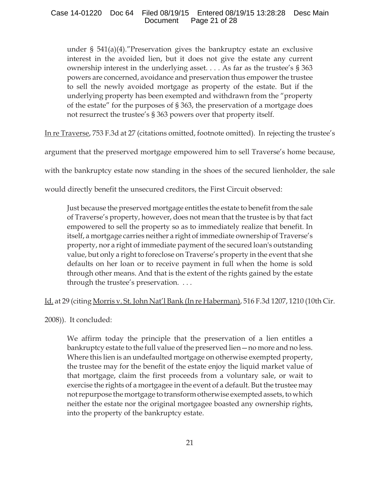under § 541(a)(4)."Preservation gives the bankruptcy estate an exclusive interest in the avoided lien, but it does not give the estate any current ownership interest in the underlying asset. . . . As far as the trustee's § 363 powers are concerned, avoidance and preservation thus empower the trustee to sell the newly avoided mortgage as property of the estate. But if the underlying property has been exempted and withdrawn from the "property of the estate" for the purposes of § 363, the preservation of a mortgage does not resurrect the trustee's § 363 powers over that property itself.

In re Traverse, 753 F.3d at 27 (citations omitted, footnote omitted). In rejecting the trustee's

argument that the preserved mortgage empowered him to sell Traverse's home because,

with the bankruptcy estate now standing in the shoes of the secured lienholder, the sale

would directly benefit the unsecured creditors, the First Circuit observed:

Just because the preserved mortgage entitles the estate to benefit from the sale of Traverse's property, however, does not mean that the trustee is by that fact empowered to sell the property so as to immediately realize that benefit. In itself, a mortgage carries neither a right of immediate ownership of Traverse's property, nor a right of immediate payment of the secured loan's outstanding value, but only a right to foreclose on Traverse's property in the event that she defaults on her loan or to receive payment in full when the home is sold through other means. And that is the extent of the rights gained by the estate through the trustee's preservation. . . .

# Id. at 29 (citing Morris v. St. John Nat'l Bank (In re Haberman), 516 F.3d 1207, 1210 (10th Cir.

2008)). It concluded:

We affirm today the principle that the preservation of a lien entitles a bankruptcy estate to the full value of the preserved lien—no more and no less. Where this lien is an undefaulted mortgage on otherwise exempted property, the trustee may for the benefit of the estate enjoy the liquid market value of that mortgage, claim the first proceeds from a voluntary sale, or wait to exercise the rights of a mortgagee in the event of a default. But the trustee may not repurpose the mortgage to transform otherwise exempted assets, to which neither the estate nor the original mortgagee boasted any ownership rights, into the property of the bankruptcy estate.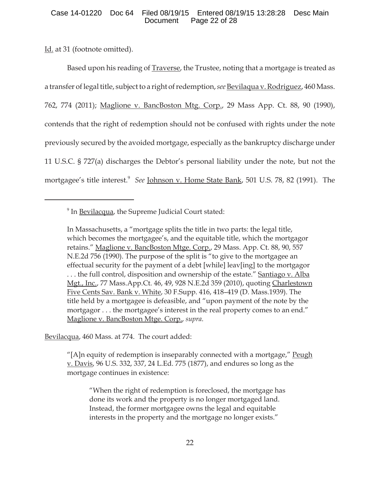## Case 14-01220 Doc 64 Filed 08/19/15 Entered 08/19/15 13:28:28 Desc Main Document Page 22 of 28

Id. at 31 (footnote omitted).

Based upon his reading of Traverse, the Trustee, noting that a mortgage is treated as a transfer of legal title, subject to a right of redemption, *see* Bevilaqua v. Rodriguez, 460 Mass. 762, 774 (2011); Maglione v. BancBoston Mtg. Corp., 29 Mass App. Ct. 88, 90 (1990), contends that the right of redemption should not be confused with rights under the note previously secured by the avoided mortgage, especially as the bankruptcy discharge under 11 U.S.C. § 727(a) discharges the Debtor's personal liability under the note, but not the mortgagee's title interest.<sup>9</sup> *See* Johnson v. Home State Bank, 501 U.S. 78, 82 (1991). The

In Massachusetts, a "mortgage splits the title in two parts: the legal title, which becomes the mortgagee's, and the equitable title, which the mortgagor retains." Maglione v. BancBoston Mtge. Corp., 29 Mass. App. Ct. 88, 90, 557 N.E.2d 756 (1990). The purpose of the split is "to give to the mortgagee an effectual security for the payment of a debt [while] leav[ing] to the mortgagor ... the full control, disposition and ownership of the estate." Santiago v. Alba Mgt., Inc., 77 Mass.App.Ct. 46, 49, 928 N.E.2d 359 (2010), quoting Charlestown Five Cents Sav. Bank v. White, 30 F.Supp. 416, 418–419 (D. Mass.1939). The title held by a mortgagee is defeasible, and "upon payment of the note by the mortgagor . . . the mortgagee's interest in the real property comes to an end." Maglione v. BancBoston Mtge. Corp., *supra*.

Bevilacqua, 460 Mass. at 774. The court added:

"[A]n equity of redemption is inseparably connected with a mortgage,"  $Peugh$ </u> v. Davis, 96 U.S. 332, 337, 24 L.Ed. 775 (1877), and endures so long as the mortgage continues in existence:

"When the right of redemption is foreclosed, the mortgage has done its work and the property is no longer mortgaged land. Instead, the former mortgagee owns the legal and equitable interests in the property and the mortgage no longer exists."

<sup>&</sup>lt;sup>9</sup> In **Bevilacqua**, the Supreme Judicial Court stated: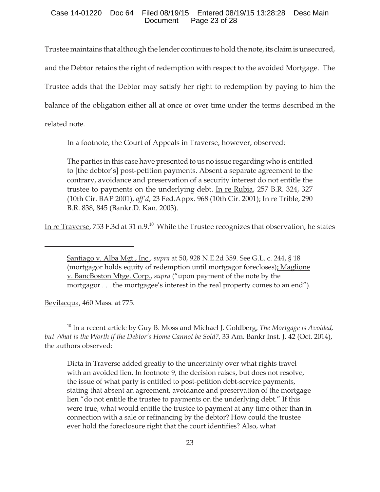## Case 14-01220 Doc 64 Filed 08/19/15 Entered 08/19/15 13:28:28 Desc Main Document Page 23 of 28

Trustee maintains that although the lender continues to hold the note, its claim is unsecured, and the Debtor retains the right of redemption with respect to the avoided Mortgage. The Trustee adds that the Debtor may satisfy her right to redemption by paying to him the balance of the obligation either all at once or over time under the terms described in the related note.

In a footnote, the Court of Appeals in **Traverse**, however, observed:

The parties in this case have presented to us no issue regarding who is entitled to [the debtor's] post-petition payments. Absent a separate agreement to the contrary, avoidance and preservation of a security interest do not entitle the trustee to payments on the underlying debt. In re Rubia, 257 B.R. 324, 327 (10th Cir. BAP 2001), *aff'd*, 23 Fed.Appx. 968 (10th Cir. 2001); In re Trible, 290 B.R. 838, 845 (Bankr.D. Kan. 2003).

In re Traverse, 753 F.3d at 31 n.9.<sup>10</sup> While the Trustee recognizes that observation, he states

Santiago v. Alba Mgt., Inc., *supra* at 50, 928 N.E.2d 359. See G.L. c. 244, § 18 (mortgagor holds equity of redemption until mortgagor forecloses); Maglione v. BancBoston Mtge. Corp., *supra* ("upon payment of the note by the mortgagor . . . the mortgagee's interest in the real property comes to an end").

Bevilacqua, 460 Mass. at 775.

<sup>10</sup> In a recent article by Guy B. Moss and Michael J. Goldberg, *The Mortgage is Avoided, but What is the Worth if the Debtor's Home Cannot be Sold?,* 33 Am. Bankr Inst. J. 42 (Oct. 2014), the authors observed:

Dicta in **Traverse** added greatly to the uncertainty over what rights travel with an avoided lien. In footnote 9, the decision raises, but does not resolve, the issue of what party is entitled to post-petition debt-service payments, stating that absent an agreement, avoidance and preservation of the mortgage lien "do not entitle the trustee to payments on the underlying debt." If this were true, what would entitle the trustee to payment at any time other than in connection with a sale or refinancing by the debtor? How could the trustee ever hold the foreclosure right that the court identifies? Also, what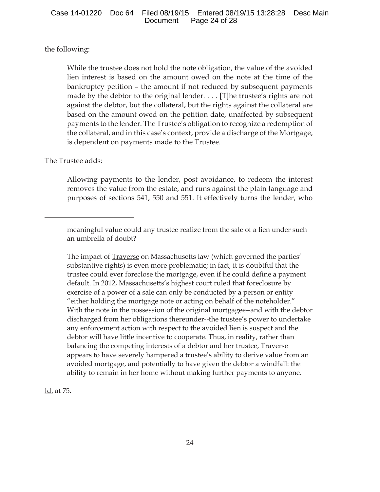the following:

While the trustee does not hold the note obligation, the value of the avoided lien interest is based on the amount owed on the note at the time of the bankruptcy petition – the amount if not reduced by subsequent payments made by the debtor to the original lender. . . . [T]he trustee's rights are not against the debtor, but the collateral, but the rights against the collateral are based on the amount owed on the petition date, unaffected by subsequent payments to the lender. The Trustee's obligation to recognize a redemption of the collateral, and in this case's context, provide a discharge of the Mortgage, is dependent on payments made to the Trustee.

# The Trustee adds:

Allowing payments to the lender, post avoidance, to redeem the interest removes the value from the estate, and runs against the plain language and purposes of sections 541, 550 and 551. It effectively turns the lender, who

The impact of **Traverse** on Massachusetts law (which governed the parties' substantive rights) is even more problematic; in fact, it is doubtful that the trustee could ever foreclose the mortgage, even if he could define a payment default. In 2012, Massachusetts's highest court ruled that foreclosure by exercise of a power of a sale can only be conducted by a person or entity "either holding the mortgage note or acting on behalf of the noteholder." With the note in the possession of the original mortgagee--and with the debtor discharged from her obligations thereunder--the trustee's power to undertake any enforcement action with respect to the avoided lien is suspect and the debtor will have little incentive to cooperate. Thus, in reality, rather than balancing the competing interests of a debtor and her trustee, **Traverse** appears to have severely hampered a trustee's ability to derive value from an avoided mortgage, and potentially to have given the debtor a windfall: the ability to remain in her home without making further payments to anyone.

Id. at 75.

meaningful value could any trustee realize from the sale of a lien under such an umbrella of doubt?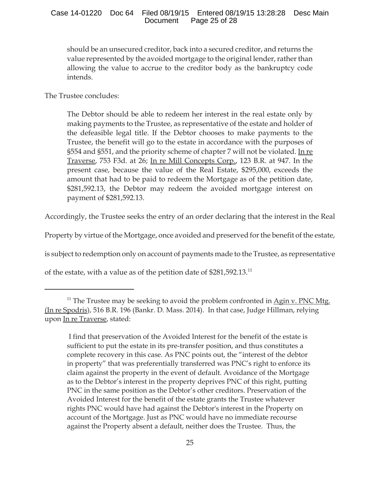should be an unsecured creditor, back into a secured creditor, and returns the value represented by the avoided mortgage to the original lender, rather than allowing the value to accrue to the creditor body as the bankruptcy code intends.

The Trustee concludes:

The Debtor should be able to redeem her interest in the real estate only by making payments to the Trustee, as representative of the estate and holder of the defeasible legal title. If the Debtor chooses to make payments to the Trustee, the benefit will go to the estate in accordance with the purposes of §554 and §551, and the priority scheme of chapter 7 will not be violated. In re Traverse, 753 F3d. at 26; In re Mill Concepts Corp., 123 B.R. at 947. In the present case, because the value of the Real Estate, \$295,000, exceeds the amount that had to be paid to redeem the Mortgage as of the petition date, \$281,592.13, the Debtor may redeem the avoided mortgage interest on payment of \$281,592.13.

Accordingly, the Trustee seeks the entry of an order declaring that the interest in the Real

Property by virtue of the Mortgage, once avoided and preserved for the benefit of the estate,

is subject to redemption only on account of payments made to the Trustee, as representative

of the estate, with a value as of the petition date of \$281,592.13.<sup>11</sup>

<sup>&</sup>lt;sup>11</sup> The Trustee may be seeking to avoid the problem confronted in  $\overrightarrow{Agin}$  v. PNC Mtg. (In re Spodris), 516 B.R. 196 (Bankr. D. Mass. 2014). In that case, Judge Hillman, relying upon In re Traverse, stated:

I find that preservation of the Avoided Interest for the benefit of the estate is sufficient to put the estate in its pre-transfer position, and thus constitutes a complete recovery in this case. As PNC points out, the "interest of the debtor in property" that was preferentially transferred was PNC's right to enforce its claim against the property in the event of default. Avoidance of the Mortgage as to the Debtor's interest in the property deprives PNC of this right, putting PNC in the same position as the Debtor's other creditors. Preservation of the Avoided Interest for the benefit of the estate grants the Trustee whatever rights PNC would have had against the Debtor's interest in the Property on account of the Mortgage. Just as PNC would have no immediate recourse against the Property absent a default, neither does the Trustee. Thus, the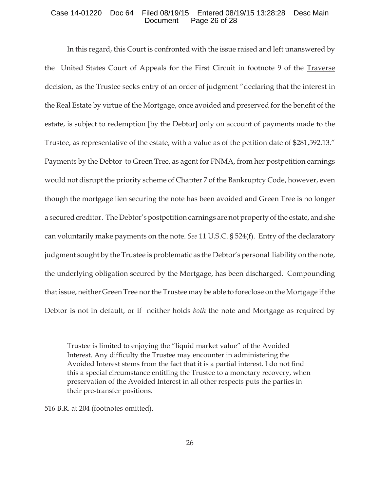## Case 14-01220 Doc 64 Filed 08/19/15 Entered 08/19/15 13:28:28 Desc Main Document Page 26 of 28

In this regard, this Court is confronted with the issue raised and left unanswered by the United States Court of Appeals for the First Circuit in footnote 9 of the Traverse decision, as the Trustee seeks entry of an order of judgment "declaring that the interest in the Real Estate by virtue of the Mortgage, once avoided and preserved for the benefit of the estate, is subject to redemption [by the Debtor] only on account of payments made to the Trustee, as representative of the estate, with a value as of the petition date of \$281,592.13." Payments by the Debtor to Green Tree, as agent for FNMA, from her postpetition earnings would not disrupt the priority scheme of Chapter 7 of the Bankruptcy Code, however, even though the mortgage lien securing the note has been avoided and Green Tree is no longer a secured creditor. The Debtor's postpetition earnings are not property of the estate, and she can voluntarily make payments on the note. *See* 11 U.S.C. § 524(f). Entry of the declaratory judgment sought by the Trustee is problematic as the Debtor's personal liability on the note, the underlying obligation secured by the Mortgage, has been discharged. Compounding that issue, neither Green Tree nor the Trustee may be able to foreclose on the Mortgage if the Debtor is not in default, or if neither holds *both* the note and Mortgage as required by

Trustee is limited to enjoying the "liquid market value" of the Avoided Interest. Any difficulty the Trustee may encounter in administering the Avoided Interest stems from the fact that it is a partial interest. I do not find this a special circumstance entitling the Trustee to a monetary recovery, when preservation of the Avoided Interest in all other respects puts the parties in their pre-transfer positions.

<sup>516</sup> B.R. at 204 (footnotes omitted).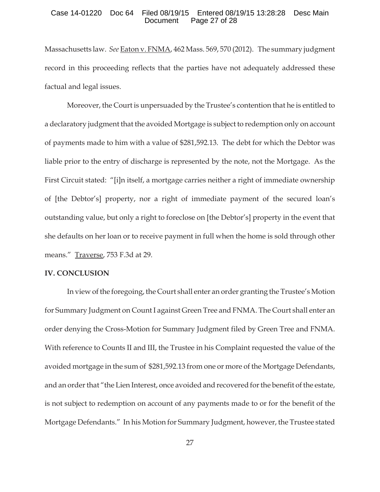#### Case 14-01220 Doc 64 Filed 08/19/15 Entered 08/19/15 13:28:28 Desc Main Document Page 27 of 28

Massachusetts law. *See* Eaton v. FNMA, 462 Mass. 569, 570 (2012). The summary judgment record in this proceeding reflects that the parties have not adequately addressed these factual and legal issues.

Moreover, the Court is unpersuaded by the Trustee's contention that he is entitled to a declaratory judgment that the avoided Mortgage is subject to redemption only on account of payments made to him with a value of \$281,592.13. The debt for which the Debtor was liable prior to the entry of discharge is represented by the note, not the Mortgage. As the First Circuit stated: "[i]n itself, a mortgage carries neither a right of immediate ownership of [the Debtor's] property, nor a right of immediate payment of the secured loan's outstanding value, but only a right to foreclose on [the Debtor's] property in the event that she defaults on her loan or to receive payment in full when the home is sold through other means." Traverse, 753 F.3d at 29.

## **IV. CONCLUSION**

In view of the foregoing, the Court shall enter an order granting the Trustee's Motion for Summary Judgment on Count I against Green Tree and FNMA. The Court shall enter an order denying the Cross-Motion for Summary Judgment filed by Green Tree and FNMA. With reference to Counts II and III, the Trustee in his Complaint requested the value of the avoided mortgage in the sum of \$281,592.13 from one or more of the Mortgage Defendants, and an order that "the Lien Interest, once avoided and recovered for the benefit of the estate, is not subject to redemption on account of any payments made to or for the benefit of the Mortgage Defendants." In his Motion for Summary Judgment, however, the Trustee stated